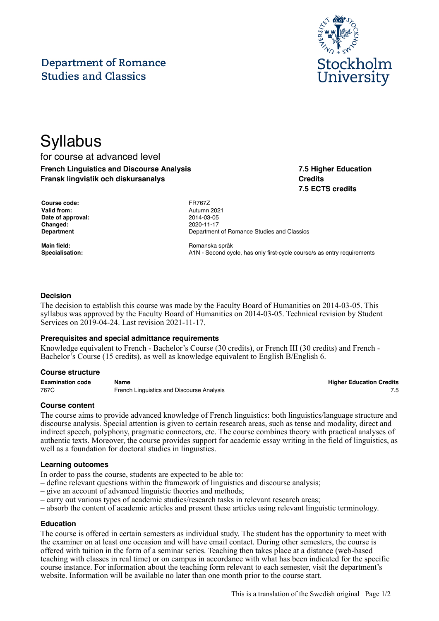#### This is a translation of the Swedish original Page 1/2

# **Department of Romance Studies and Classics**

# **Syllabus** for course at advanced level

**French Linguistics and Discourse Analysis Fransk lingvistik och diskursanalys**

| <b>Course code:</b> | <b>FR767Z</b> |
|---------------------|---------------|
| Valid from:         | Autumn        |
| Date of approval:   | 2014-03       |
| Changed:            | 2020-11       |
| <b>Department</b>   | Departm       |

**Valid from:** Autumn 2021 **Date of approval:** 2014-03-05 **Changed:** 2020-11-17 **Department of Romance Studies and Classics** 

**Main field:** Romanska språk Specialisation: **A1N** - Second cycle, has only first-cycle course/s as entry requirements

## **Decision**

The decision to establish this course was made by the Faculty Board of Humanities on 2014-03-05. This syllabus was approved by the Faculty Board of Humanities on 2014-03-05. Technical revision by Student Services on 2019-04-24. Last revision 2021-11-17.

#### **Prerequisites and special admittance requirements**

Knowledge equivalent to French - Bachelor's Course (30 credits), or French III (30 credits) and French - Bachelor's Course (15 credits), as well as knowledge equivalent to English B/English 6.

#### **Course structure**

| <b>Examination code</b> | Name                                      | <b>Higher Education Credits</b> |
|-------------------------|-------------------------------------------|---------------------------------|
| 767C                    | French Linguistics and Discourse Analysis |                                 |

#### **Course content**

The course aims to provide advanced knowledge of French linguistics: both linguistics/language structure and discourse analysis. Special attention is given to certain research areas, such as tense and modality, direct and indirect speech, polyphony, pragmatic connectors, etc. The course combines theory with practical analyses of authentic texts. Moreover, the course provides support for academic essay writing in the field of linguistics, as well as a foundation for doctoral studies in linguistics.

#### **Learning outcomes**

In order to pass the course, students are expected to be able to:

- define relevant questions within the framework of linguistics and discourse analysis;
- give an account of advanced linguistic theories and methods;
- carry out various types of academic studies/research tasks in relevant research areas;
- absorb the content of academic articles and present these articles using relevant linguistic terminology.

#### **Education**

The course is offered in certain semesters as individual study. The student has the opportunity to meet with the examiner on at least one occasion and will have email contact. During other semesters, the course is offered with tuition in the form of a seminar series. Teaching then takes place at a distance (web-based teaching with classes in real time) or on campus in accordance with what has been indicated for the specific course instance. For information about the teaching form relevant to each semester, visit the department's website. Information will be available no later than one month prior to the course start.



**7.5 Higher Education**

**7.5 ECTS credits**

**Credits**